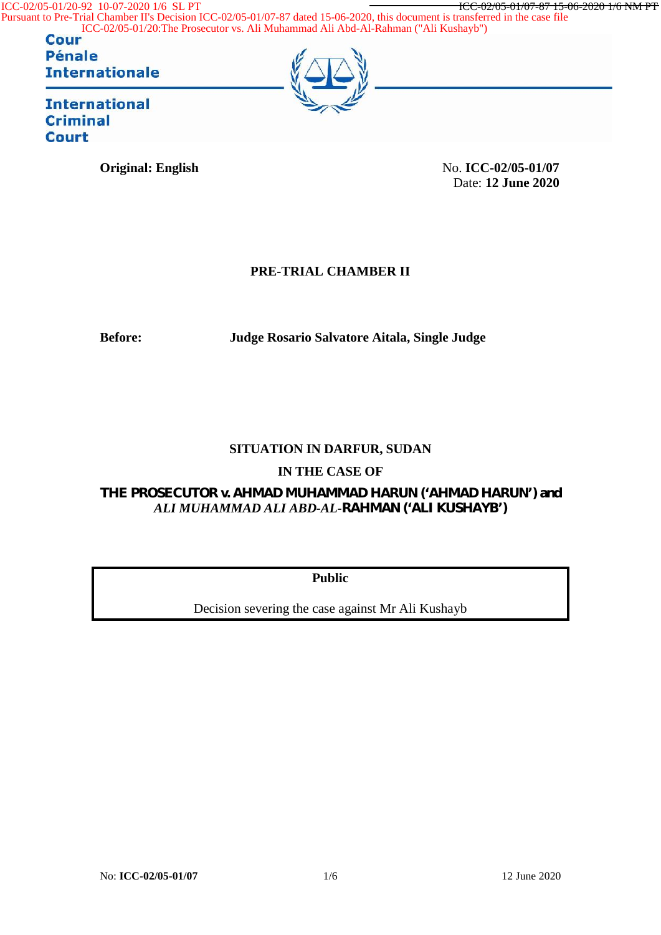ICC-02/05-01/20-92 10-07-2020 1/6 SL PT **ICC-02/05-01/07-87 15-06-2020 1/6 NM PT** 

Pursuant to Pre-Trial Chamber II's Decision ICC-02/05-01/07-87 dated 15-06-2020, this document is transferred in the case file ICC-02/05-01/20:The Prosecutor vs. Ali Muhammad Ali Abd-Al-Rahman ("Ali Kushayb")

**Pénale Internationale** 



**Original: English** No. **ICC-02/05-01/07** Date: **12 June 2020**

## **PRE-TRIAL CHAMBER II**

**Before: Judge Rosario Salvatore Aitala, Single Judge**

## **SITUATION IN DARFUR, SUDAN**

## **IN THE CASE OF**

*THE PROSECUTOR v. AHMAD MUHAMMAD HARUN ('AHMAD HARUN') and ALI MUHAMMAD ALI ABD-AL-RAHMAN ('ALI KUSHAYB')*

**Public**

Decision severing the case against Mr Ali Kushayb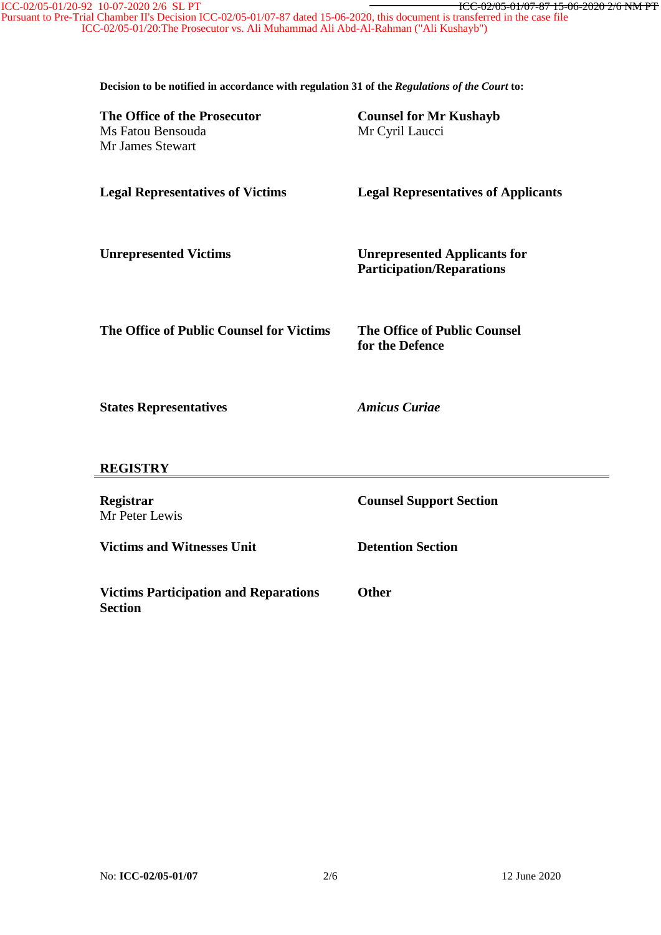Pursuant to Pre-Trial Chamber II's Decision ICC-02/05-01/07-87 dated 15-06-2020, this document is transferred in the case file ICC-02/05-01/20:The Prosecutor vs. Ali Muhammad Ali Abd-Al-Rahman ("Ali Kushayb")

**Decision to be notified in accordance with regulation 31 of the** *Regulations of the Court* **to:**

| The Office of the Prosecutor<br>Ms Fatou Bensouda<br>Mr James Stewart | <b>Counsel for Mr Kushayb</b><br>Mr Cyril Laucci                        |
|-----------------------------------------------------------------------|-------------------------------------------------------------------------|
| <b>Legal Representatives of Victims</b>                               | <b>Legal Representatives of Applicants</b>                              |
| <b>Unrepresented Victims</b>                                          | <b>Unrepresented Applicants for</b><br><b>Participation/Reparations</b> |
| The Office of Public Counsel for Victims                              | <b>The Office of Public Counsel</b><br>for the Defence                  |
| <b>States Representatives</b>                                         | <b>Amicus Curiae</b>                                                    |
| <b>REGISTRY</b>                                                       |                                                                         |
| Registrar<br>Mr Peter Lewis                                           | <b>Counsel Support Section</b>                                          |
| <b>Victims and Witnesses Unit</b>                                     | <b>Detention Section</b>                                                |
| <b>Victims Participation and Reparations</b><br><b>Section</b>        | <b>Other</b>                                                            |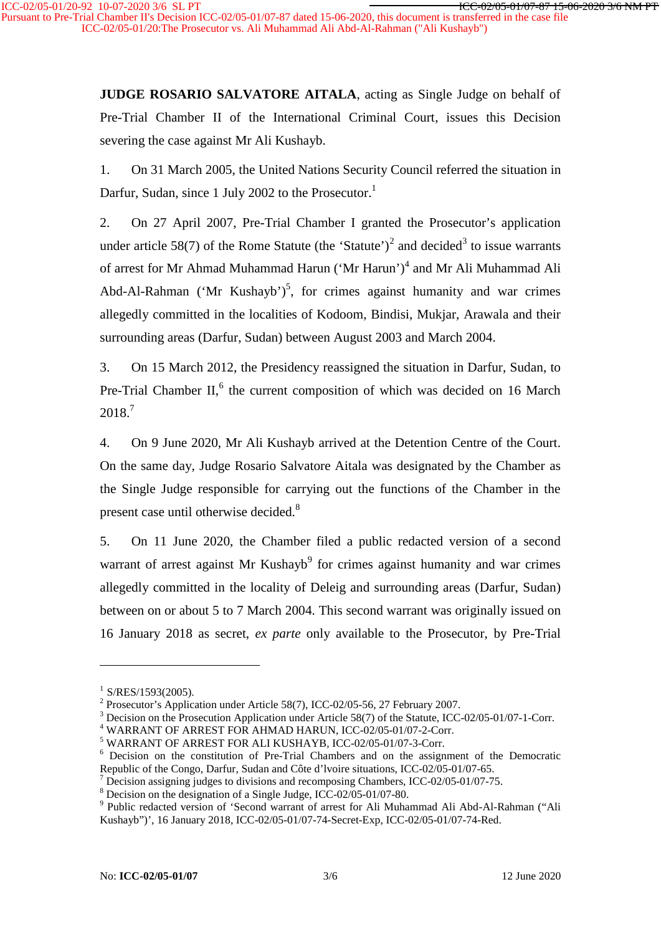**JUDGE ROSARIO SALVATORE AITALA**, acting as Single Judge on behalf of Pre-Trial Chamber II of the International Criminal Court, issues this Decision severing the case against Mr Ali Kushayb.

1. On 31 March 2005, the United Nations Security Council referred the situation in Darfur, Sudan, since 1 July 2002 to the Prosecutor.<sup>1</sup>

2. On 27 April 2007, Pre-Trial Chamber I granted the Prosecutor's application under article 58(7) of the Rome Statute (the 'Statute')<sup>2</sup> and decided<sup>3</sup> to issue warrants of arrest for Mr Ahmad Muhammad Harun ('Mr Harun')<sup>4</sup> and Mr Ali Muhammad Ali Abd-Al-Rahman ('Mr Kushayb')<sup>5</sup>, for crimes against humanity and war crimes allegedly committed in the localities of Kodoom, Bindisi, Mukjar, Arawala and their surrounding areas (Darfur, Sudan) between August 2003 and March 2004.

3. On 15 March 2012, the Presidency reassigned the situation in Darfur, Sudan, to Pre-Trial Chamber II,<sup>6</sup> the current composition of which was decided on 16 March 2018.<sup>7</sup>

4. On 9 June 2020, Mr Ali Kushayb arrived at the Detention Centre of the Court. On the same day, Judge Rosario Salvatore Aitala was designated by the Chamber as the Single Judge responsible for carrying out the functions of the Chamber in the present case until otherwise decided.<sup>8</sup>

5. On 11 June 2020, the Chamber filed a public redacted version of a second warrant of arrest against Mr Kushayb<sup>9</sup> for crimes against humanity and war crimes allegedly committed in the locality of Deleig and surrounding areas (Darfur, Sudan) between on or about 5 to 7 March 2004. This second warrant was originally issued on 16 January 2018 as secret, *ex parte* only available to the Prosecutor, by Pre-Trial

<sup>&</sup>lt;sup>1</sup> S/RES/1593(2005).<br>
<sup>2</sup> Prosecutor's Application under Article 58(7), ICC-02/05-56, 27 February 2007.<br>
<sup>3</sup> Decision on the Prosecution Application under Article 58(7) of the Statute, ICC-02/05-01/07-1-Corr.<br>
<sup>4</sup> WARRAN

Republic of the Congo, Darfur, Sudan and Côte d'Ivoire situations, ICC-02/05-01/07-65.<br>
<sup>7</sup> Decision assigning judges to divisions and recomposing Chambers, ICC-02/05-01/07-75.<br>
<sup>8</sup> Decision on the designation of a Single

Kushayb")', 16 January 2018, ICC-02/05-01/07-74-Secret-Exp, ICC-02/05-01/07-74-Red.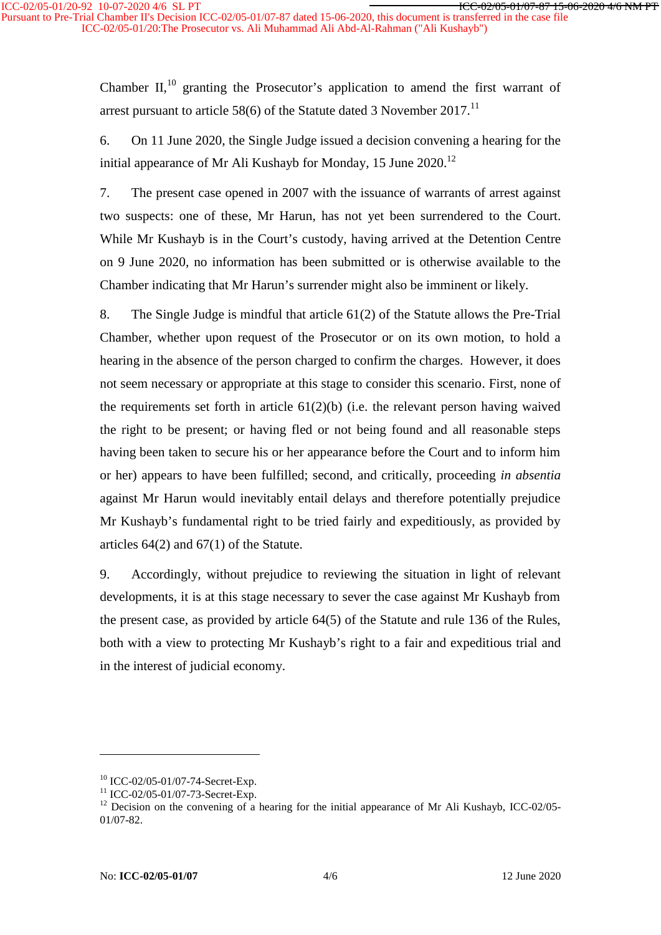Pursuant to Pre-Trial Chamber II's Decision ICC-02/05-01/07-87 dated 15-06-2020, this document is transferred in the case file ICC-02/05-01/20:The Prosecutor vs. Ali Muhammad Ali Abd-Al-Rahman ("Ali Kushayb")

> Chamber II, $^{10}$  granting the Prosecutor's application to amend the first warrant of arrest pursuant to article 58(6) of the Statute dated 3 November 2017.<sup>11</sup>

> 6. On 11 June 2020, the Single Judge issued a decision convening a hearing for the initial appearance of Mr Ali Kushayb for Monday, 15 June  $2020$ <sup>12</sup>

> 7. The present case opened in 2007 with the issuance of warrants of arrest against two suspects: one of these, Mr Harun, has not yet been surrendered to the Court. While Mr Kushayb is in the Court's custody, having arrived at the Detention Centre on 9 June 2020, no information has been submitted or is otherwise available to the Chamber indicating that Mr Harun's surrender might also be imminent or likely.

> 8. The Single Judge is mindful that article 61(2) of the Statute allows the Pre-Trial Chamber, whether upon request of the Prosecutor or on its own motion, to hold a hearing in the absence of the person charged to confirm the charges. However, it does not seem necessary or appropriate at this stage to consider this scenario. First, none of the requirements set forth in article  $61(2)(b)$  (i.e. the relevant person having waived the right to be present; or having fled or not being found and all reasonable steps having been taken to secure his or her appearance before the Court and to inform him or her) appears to have been fulfilled; second, and critically, proceeding *in absentia* against Mr Harun would inevitably entail delays and therefore potentially prejudice Mr Kushayb's fundamental right to be tried fairly and expeditiously, as provided by articles 64(2) and 67(1) of the Statute.

> 9. Accordingly, without prejudice to reviewing the situation in light of relevant developments, it is at this stage necessary to sever the case against Mr Kushayb from the present case, as provided by article 64(5) of the Statute and rule 136 of the Rules, both with a view to protecting Mr Kushayb's right to a fair and expeditious trial and in the interest of judicial economy.

<sup>&</sup>lt;sup>10</sup> ICC-02/05-01/07-74-Secret-Exp.<br><sup>11</sup> ICC-02/05-01/07-73-Secret-Exp.<br><sup>12</sup> Decision on the convening of a hearing for the initial appearance of Mr Ali Kushayb, ICC-02/05-01/07-82.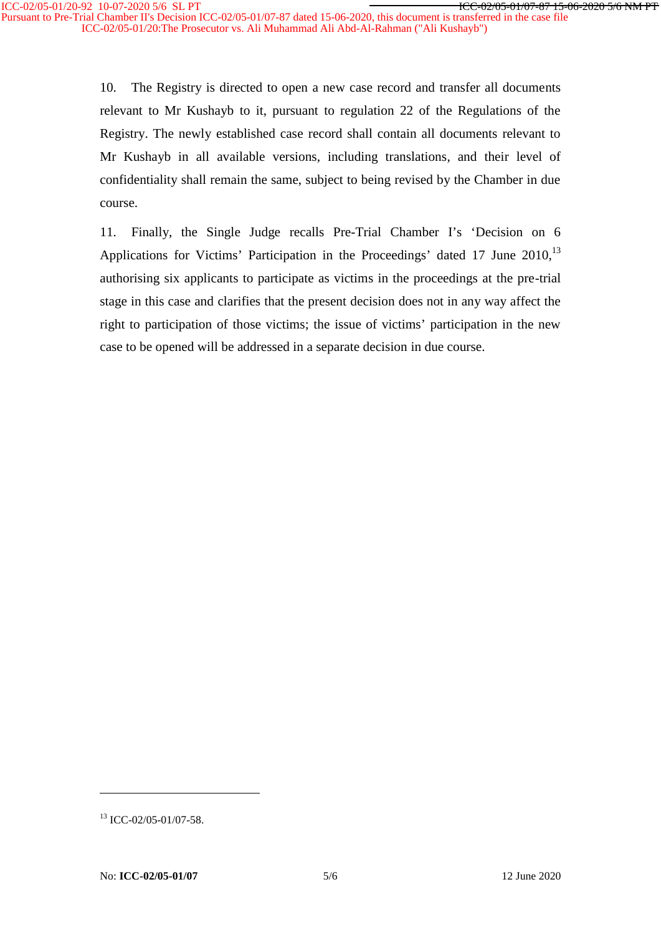Pursuant to Pre-Trial Chamber II's Decision ICC-02/05-01/07-87 dated 15-06-2020, this document is transferred in the case file ICC-02/05-01/20:The Prosecutor vs. Ali Muhammad Ali Abd-Al-Rahman ("Ali Kushayb")

> 10. The Registry is directed to open a new case record and transfer all documents relevant to Mr Kushayb to it, pursuant to regulation 22 of the Regulations of the Registry. The newly established case record shall contain all documents relevant to Mr Kushayb in all available versions, including translations, and their level of confidentiality shall remain the same, subject to being revised by the Chamber in due course.

> 11. Finally, the Single Judge recalls Pre-Trial Chamber I's 'Decision on 6 Applications for Victims' Participation in the Proceedings' dated 17 June 2010.<sup>13</sup> authorising six applicants to participate as victims in the proceedings at the pre-trial stage in this case and clarifies that the present decision does not in any way affect the right to participation of those victims; the issue of victims' participation in the new case to be opened will be addressed in a separate decision in due course.

<sup>&</sup>lt;sup>13</sup> ICC-02/05-01/07-58.